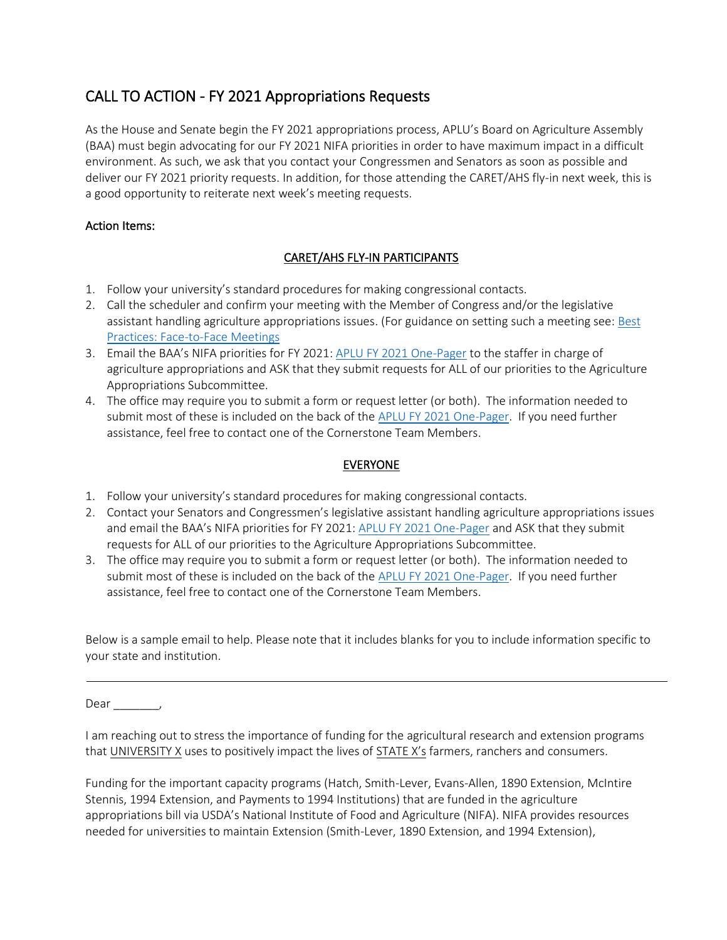# CALL TO ACTION - FY 2021 Appropriations Requests

As the House and Senate begin the FY 2021 appropriations process, APLU's Board on Agriculture Assembly (BAA) must begin advocating for our FY 2021 NIFA priorities in order to have maximum impact in a difficult environment. As such, we ask that you contact your Congressmen and Senators as soon as possible and deliver our FY 2021 priority requests. In addition, for those attending the CARET/AHS fly-in next week, this is a good opportunity to reiterate next week's meeting requests.

## Action Items:

### CARET/AHS FLY-IN PARTICIPANTS

- 1. Follow your university's standard procedures for making congressional contacts.
- 2. Call the scheduler and confirm your meeting with the Member of Congress and/or the legislative assistant handling agriculture appropriations issues. (For guidance on setting such a meeting see: [Best](https://16c8e9b5-cd00-4ae3-ab94-ec706dc05201.filesusr.com/ugd/cbc5b5_e285a8a49c254818b25eb35bfe135bfc.pdf)  [Practices: Face-to-Face](https://16c8e9b5-cd00-4ae3-ab94-ec706dc05201.filesusr.com/ugd/cbc5b5_e285a8a49c254818b25eb35bfe135bfc.pdf) Meetings
- 3. Email the BAA's NIFA priorities for FY 2021: [APLU FY 2021 One-Pager](https://16c8e9b5-cd00-4ae3-ab94-ec706dc05201.filesusr.com/ugd/cbc5b5_bc991846c50649d7b341bbc28cf5ad0e.pdf) to the staffer in charge of agriculture appropriations and ASK that they submit requests for ALL of our priorities to the Agriculture Appropriations Subcommittee.
- 4. The office may require you to submit a form or request letter (or both). The information needed to submit most of these is included on the back of the [APLU FY 2021 One-Pager.](https://16c8e9b5-cd00-4ae3-ab94-ec706dc05201.filesusr.com/ugd/cbc5b5_bc991846c50649d7b341bbc28cf5ad0e.pdf) If you need further assistance, feel free to contact one of the Cornerstone Team Members.

#### EVERYONE

- 1. Follow your university's standard procedures for making congressional contacts.
- 2. Contact your Senators and Congressmen's legislative assistant handling agriculture appropriations issues and email the BAA's NIFA priorities for FY 2021: [APLU FY 2021 One-Pager](https://16c8e9b5-cd00-4ae3-ab94-ec706dc05201.filesusr.com/ugd/cbc5b5_bc991846c50649d7b341bbc28cf5ad0e.pdf) and ASK that they submit requests for ALL of our priorities to the Agriculture Appropriations Subcommittee.
- 3. The office may require you to submit a form or request letter (or both). The information needed to submit most of these is included on the back of the [APLU FY 2021 One-Pager.](https://16c8e9b5-cd00-4ae3-ab94-ec706dc05201.filesusr.com/ugd/cbc5b5_bc991846c50649d7b341bbc28cf5ad0e.pdf) If you need further assistance, feel free to contact one of the Cornerstone Team Members.

Below is a sample email to help. Please note that it includes blanks for you to include information specific to your state and institution.

Dear \_\_\_\_\_\_\_,

I am reaching out to stress the importance of funding for the agricultural research and extension programs that UNIVERSITY X uses to positively impact the lives of STATE X's farmers, ranchers and consumers.

Funding for the important capacity programs (Hatch, Smith-Lever, Evans-Allen, 1890 Extension, McIntire Stennis, 1994 Extension, and Payments to 1994 Institutions) that are funded in the agriculture appropriations bill via USDA's National Institute of Food and Agriculture (NIFA). NIFA provides resources needed for universities to maintain Extension (Smith-Lever, 1890 Extension, and 1994 Extension),